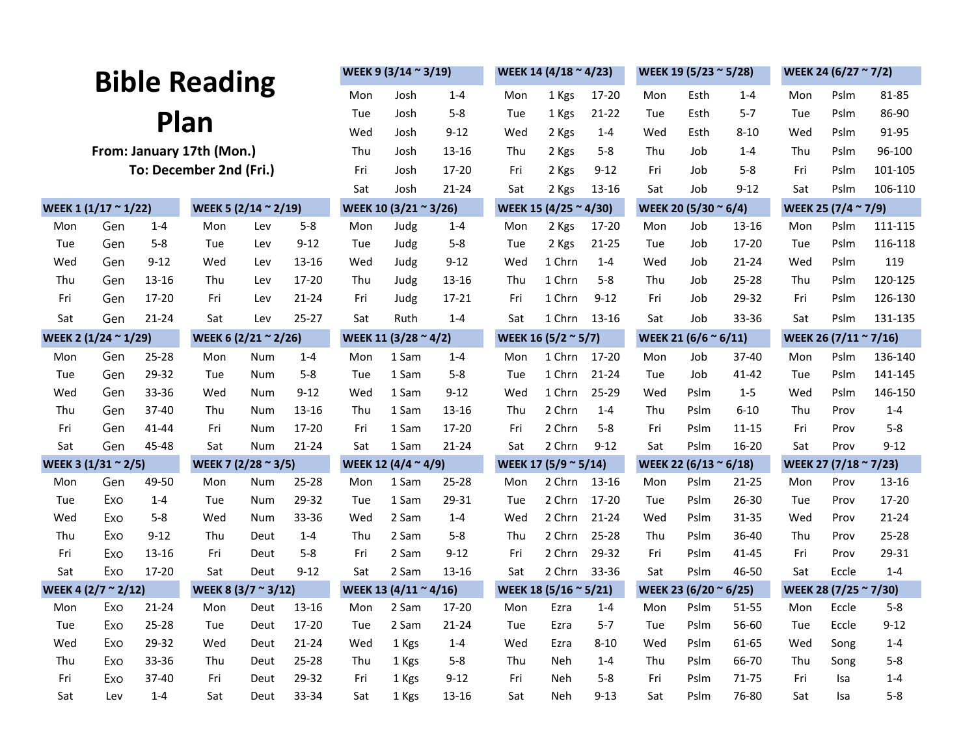|                                                    |     |           |                                                |      | WEEK 9 (3/14 ~ 3/19)                                     |      | WEEK 14 (4/18 $\approx$ 4/23) |                       | WEEK 19 (5/23 ~ 5/28)        |                                               | WEEK 24 (6/27 $\approx$ 7/2)  |                      |                                 |                     |      |              |           |
|----------------------------------------------------|-----|-----------|------------------------------------------------|------|----------------------------------------------------------|------|-------------------------------|-----------------------|------------------------------|-----------------------------------------------|-------------------------------|----------------------|---------------------------------|---------------------|------|--------------|-----------|
| <b>Bible Reading</b>                               |     |           |                                                |      | Mon                                                      | Josh | $1 - 4$                       | Mon                   | 1 Kgs                        | 17-20                                         | Mon                           | Esth                 | $1 - 4$                         | Mon                 | Pslm | 81-85        |           |
|                                                    |     |           |                                                |      | Tue                                                      | Josh | $5 - 8$                       | Tue                   | 1 Kgs                        | $21 - 22$                                     | Tue                           | Esth                 | $5 - 7$                         | Tue                 | Pslm | 86-90        |           |
| Plan                                               |     |           |                                                |      |                                                          | Wed  | Josh                          | $9 - 12$              | Wed                          | 2 Kgs                                         | $1 - 4$                       | Wed                  | Esth                            | $8 - 10$            | Wed  | Pslm         | 91-95     |
| From: January 17th (Mon.)                          |     |           |                                                |      |                                                          | Thu  | Josh                          | 13-16                 | Thu                          | 2 Kgs                                         | $5 - 8$                       | Thu                  | Job                             | $1 - 4$             | Thu  | Pslm         | 96-100    |
| To: December 2nd (Fri.)                            |     |           |                                                |      | Fri                                                      | Josh | 17-20                         | Fri                   | 2 Kgs                        | $9 - 12$                                      | Fri                           | Job                  | $5 - 8$                         | Fri                 | Pslm | 101-105      |           |
|                                                    |     |           |                                                |      | Sat                                                      | Josh | 21-24                         | Sat                   | 2 Kgs                        | 13-16                                         | Sat                           | Job                  | $9 - 12$                        | Sat                 | Pslm | 106-110      |           |
| WEEK 1 (1/17 ~ 1/22)                               |     |           | WEEK 5 (2/14 ~ 2/19)                           |      |                                                          |      | WEEK 10 (3/21 ~ 3/26)         |                       |                              | WEEK 15 (4/25 ~ 4/30)                         |                               | WEEK 20 (5/30 ~ 6/4) |                                 | WEEK 25 (7/4 ~ 7/9) |      |              |           |
| Mon                                                | Gen | $1 - 4$   | Mon                                            | Lev  | $5 - 8$                                                  | Mon  | Judg                          | $1 - 4$               | Mon                          | 2 Kgs                                         | 17-20                         | Mon                  | Job                             | $13 - 16$           | Mon  | Pslm         | 111-115   |
| Tue                                                | Gen | $5 - 8$   | Tue                                            | Lev  | $9 - 12$                                                 | Tue  | Judg                          | $5-8$                 | Tue                          | 2 Kgs                                         | $21 - 25$                     | Tue                  | Job                             | 17-20               | Tue  | Pslm         | 116-118   |
| Wed                                                | Gen | $9 - 12$  | Wed                                            | Lev  | 13-16                                                    | Wed  | Judg                          | $9 - 12$              | Wed                          | 1 Chrn                                        | $1 - 4$                       | Wed                  | Job                             | $21 - 24$           | Wed  | Pslm         | 119       |
| Thu                                                | Gen | 13-16     | Thu                                            | Lev  | 17-20                                                    | Thu  | Judg                          | 13-16                 | Thu                          | 1 Chrn                                        | $5 - 8$                       | Thu                  | Job                             | $25 - 28$           | Thu  | Pslm         | 120-125   |
| Fri                                                | Gen | 17-20     | Fri                                            | Lev  | 21-24                                                    | Fri  | Judg                          | 17-21                 | Fri                          | 1 Chrn                                        | $9 - 12$                      | Fri                  | Job                             | 29-32               | Fri  | Pslm         | 126-130   |
| Sat                                                | Gen | $21 - 24$ | Sat                                            | Lev  | $25 - 27$                                                | Sat  | Ruth                          | $1 - 4$               | Sat                          | 1 Chrn                                        | 13-16                         | Sat                  | Job                             | 33-36               | Sat  | Pslm         | 131-135   |
| WEEK 2 (1/24 ~ 1/29)                               |     |           | WEEK 6 (2/21 $\approx$ 2/26)                   |      | WEEK 11 (3/28 ~ 4/2)                                     |      | WEEK 16 (5/2 ~ 5/7)           |                       | WEEK 21 (6/6 $\approx$ 6/11) |                                               | WEEK 26 (7/11 ~ 7/16)         |                      |                                 |                     |      |              |           |
| Mon                                                | Gen | 25-28     | Mon                                            | Num  | $1 - 4$                                                  | Mon  | 1 Sam                         | $1 - 4$               | Mon                          | 1 Chrn                                        | 17-20                         | Mon                  | Job                             | 37-40               | Mon  | Pslm         | 136-140   |
| Tue                                                | Gen | 29-32     | Tue                                            | Num  | $5 - 8$                                                  | Tue  | 1 Sam                         | $5-8$                 | Tue                          | 1 Chrn                                        | $21 - 24$                     | Tue                  | Job                             | 41-42               | Tue  | Pslm         | 141-145   |
| Wed                                                | Gen | 33-36     | Wed                                            | Num  | $9 - 12$                                                 | Wed  | 1 Sam                         | $9 - 12$              | Wed                          | 1 Chrn                                        | 25-29                         | Wed                  | Pslm                            | $1-5$               | Wed  | Pslm         | 146-150   |
| Thu                                                | Gen | 37-40     | Thu                                            | Num  | 13-16                                                    | Thu  | 1 Sam                         | 13-16                 | Thu                          | 2 Chrn                                        | $1 - 4$                       | Thu                  | Pslm                            | $6 - 10$            | Thu  | Prov         | $1 - 4$   |
| Fri                                                | Gen | 41-44     | Fri                                            | Num  | 17-20                                                    | Fri  | 1 Sam                         | $17 - 20$             | Fri                          | 2 Chrn                                        | $5 - 8$                       | Fri                  | Pslm                            | $11 - 15$           | Fri  | Prov<br>Prov | $5 - 8$   |
| Sat<br>Gen<br>45-48                                |     |           | $21 - 24$<br>Sat<br>Num<br>WEEK 7 (2/28 ~ 3/5) |      | Sat<br>1 Sam<br>$21 - 24$<br>WEEK 12 $(4/4 \approx 4/9)$ |      | Sat                           | 2 Chrn                | $9 - 12$                     | Sat<br>Pslm<br>16-20<br>WEEK 22 (6/13 ~ 6/18) |                               | Sat                  | $9-12$<br>WEEK 27 (7/18 ~ 7/23) |                     |      |              |           |
| WEEK 3 (1/31 ~ 2/5)<br>Gen<br>49-50<br>Mon         |     |           | Mon                                            | Num  | $25 - 28$                                                | Mon  | 1 Sam                         | 25-28                 | Mon                          | WEEK 17 (5/9 ~ 5/14)<br>2 Chrn                | 13-16                         | Mon                  | Pslm                            | $21 - 25$           | Mon  | Prov         | 13-16     |
| Tue                                                | Exo | $1 - 4$   | Tue                                            | Num  | 29-32                                                    | Tue  | 1 Sam                         | 29-31                 | Tue                          | 2 Chrn                                        | 17-20                         | Tue                  | Pslm                            | $26 - 30$           | Tue  | Prov         | 17-20     |
| Wed                                                | Exo | $5 - 8$   | Wed                                            | Num  | 33-36                                                    | Wed  | 2 Sam                         | $1 - 4$               | Wed                          | 2 Chrn                                        | $21 - 24$                     | Wed                  | Pslm                            | 31-35               | Wed  | Prov         | $21 - 24$ |
| Thu                                                | Exo | $9 - 12$  | Thu                                            | Deut | $1 - 4$                                                  | Thu  | 2 Sam                         | $5-8$                 | Thu                          | 2 Chrn                                        | $25 - 28$                     | Thu                  | Pslm                            | 36-40               | Thu  | Prov         | $25 - 28$ |
| Fri                                                | Exo | 13-16     | Fri                                            | Deut | 5-8                                                      | Fri  | 2 Sam                         | $9 - 12$              | Fri                          | 2 Chrn                                        | 29-32                         | Fri                  | Pslm                            | 41-45               | Fri  | Prov         | 29-31     |
| Sat                                                | Exo | 17-20     | Sat                                            | Deut | $9 - 12$                                                 | Sat  | 2 Sam                         | $13 - 16$             | Sat                          | 2 Chrn                                        | 33-36                         | Sat                  | Pslm                            | 46-50               | Sat  | Eccle        | $1 - 4$   |
| WEEK 4 (2/7 ~ 2/12)<br>WEEK 8 (3/7 $\approx$ 3/12) |     |           |                                                |      | WEEK 13 (4/11 ~ 4/16)                                    |      |                               | WEEK 18 (5/16 ~ 5/21) |                              |                                               | WEEK 23 (6/20 $\approx$ 6/25) |                      | WEEK 28 (7/25 ~ 7/30)           |                     |      |              |           |
| Mon                                                | Exo | $21 - 24$ | Mon                                            | Deut | 13-16                                                    | Mon  | 2 Sam                         | 17-20                 | Mon                          | Ezra                                          | $1 - 4$                       | Mon                  | Pslm                            | $51 - 55$           | Mon  | Eccle        | $5 - 8$   |
| Tue                                                | Exo | 25-28     | Tue                                            | Deut | 17-20                                                    | Tue  | 2 Sam                         | 21-24                 | Tue                          | Ezra                                          | $5 - 7$                       | Tue                  | Pslm                            | 56-60               | Tue  | Eccle        | $9 - 12$  |
| Wed                                                | Exo | 29-32     | Wed                                            | Deut | 21-24                                                    | Wed  | 1 Kgs                         | $1 - 4$               | Wed                          | Ezra                                          | $8 - 10$                      | Wed                  | Pslm                            | 61-65               | Wed  | Song         | $1 - 4$   |
| Thu                                                | Exo | 33-36     | Thu                                            | Deut | 25-28                                                    | Thu  | 1 Kgs                         | $5-8$                 | Thu                          | Neh                                           | $1 - 4$                       | Thu                  | Pslm                            | 66-70               | Thu  | Song         | $5 - 8$   |
| Fri                                                | Exo | 37-40     | Fri                                            | Deut | 29-32                                                    | Fri  | 1 Kgs                         | $9 - 12$              | Fri                          | Neh                                           | $5 - 8$                       | Fri                  | Pslm                            | 71-75               | Fri  | Isa          | $1 - 4$   |
| Sat                                                | Lev | $1 - 4$   | Sat                                            | Deut | 33-34                                                    | Sat  | 1 Kgs                         | 13-16                 | Sat                          | Neh                                           | $9 - 13$                      | Sat                  | Pslm                            | 76-80               | Sat  | Isa          | $5 - 8$   |